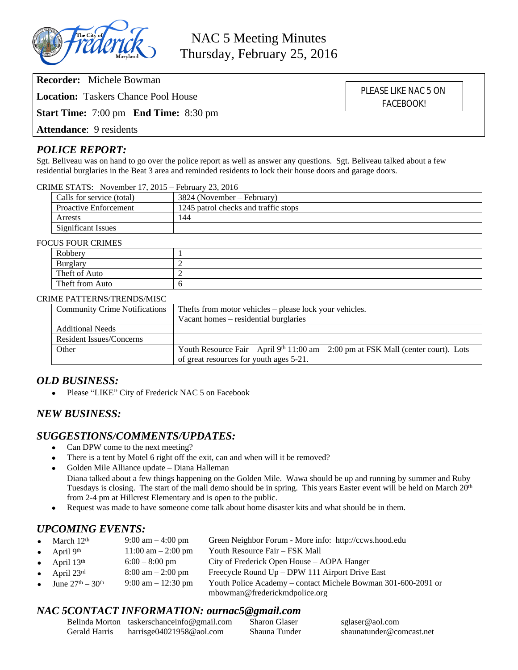

**Location:** Taskers Chance Pool House

**Start Time:** 7:00 pm **End Time:** 8:30 pm

**Attendance**: 9 residents

## *POLICE REPORT:*

Sgt. Beliveau was on hand to go over the police report as well as answer any questions. Sgt. Beliveau talked about a few residential burglaries in the Beat 3 area and reminded residents to lock their house doors and garage doors.

| CRIME STATS: November 17, 2015 – February 23, 2016 |  |
|----------------------------------------------------|--|
|----------------------------------------------------|--|

| Calls for service (total)    | 3824 (November – February)           |
|------------------------------|--------------------------------------|
| <b>Proactive Enforcement</b> | 1245 patrol checks and traffic stops |
| Arrests                      | 144                                  |
| <b>Significant Issues</b>    |                                      |

### FOCUS FOUR CRIMES

| $\sim$ 0.0 $\sim$ 0.0 $\sim$ 0.0 $\sim$ 0.0 $\sim$<br>Robbery |  |
|---------------------------------------------------------------|--|
| <b>Burglary</b>                                               |  |
| Theft of Auto                                                 |  |
| Theft from Auto                                               |  |

### CRIME PATTERNS/TRENDS/MISC

| <b>Community Crime Notifications</b> | Thefts from motor vehicles – please lock your vehicles.                                         |  |  |
|--------------------------------------|-------------------------------------------------------------------------------------------------|--|--|
|                                      | Vacant homes – residential burglaries                                                           |  |  |
| <b>Additional Needs</b>              |                                                                                                 |  |  |
| Resident Issues/Concerns             |                                                                                                 |  |  |
| Other                                | Youth Resource Fair – April 9 <sup>th</sup> 11:00 am – 2:00 pm at FSK Mall (center court). Lots |  |  |
|                                      | of great resources for youth ages 5-21.                                                         |  |  |

### *OLD BUSINESS:*

• Please "LIKE" City of Frederick NAC 5 on Facebook

### *NEW BUSINESS:*

# *SUGGESTIONS/COMMENTS/UPDATES:*<br>• Can DPW come to the next meeting?

- Can DPW come to the next meeting?
- There is a tent by Motel 6 right off the exit, can and when will it be removed?
- Golden Mile Alliance update Diana Halleman
	- Diana talked about a few things happening on the Golden Mile. Wawa should be up and running by summer and Ruby Tuesdays is closing. The start of the mall demo should be in spring. This years Easter event will be held on March 20<sup>th</sup> from 2-4 pm at Hillcrest Elementary and is open to the public.
- Request was made to have someone come talk about home disaster kits and what should be in them.

## *UPCOMING EVENTS:*

| • March $12th$                           | $9:00 \text{ am} - 4:00 \text{ pm}$  | Green Neighbor Forum - More info: http://ccws.hood.edu                                         |
|------------------------------------------|--------------------------------------|------------------------------------------------------------------------------------------------|
| April $9th$<br>$\bullet$                 | $11:00 \text{ am} - 2:00 \text{ pm}$ | Youth Resource Fair – FSK Mall                                                                 |
| April $13th$<br>$\bullet$                | $6:00-8:00 \text{ pm}$               | City of Frederick Open House – AOPA Hanger                                                     |
| April $23^{\text{rd}}$<br>$\bullet$      | $8:00 \text{ am} - 2:00 \text{ pm}$  | Freecycle Round Up – DPW 111 Airport Drive East                                                |
| • June $27^{\text{th}} - 30^{\text{th}}$ | $9:00 \text{ am} - 12:30 \text{ pm}$ | Youth Police Academy – contact Michele Bowman 301-600-2091 or<br>mbowman@frederickmdpolice.org |
|                                          |                                      |                                                                                                |

### *NAC 5CONTACT INFORMATION: ournac5@gmail.com*

|               | Belinda Morton taskerschanceinfo@gmail.com | <b>Sharon Glaser</b> | sglaser@aol.com          |
|---------------|--------------------------------------------|----------------------|--------------------------|
| Gerald Harris | harrisge $04021958@$ aol.com               | Shauna Tunder        | shaunatunder@comcast.net |

PLEASE LIKE NAC 5 ON FACEBOOK!